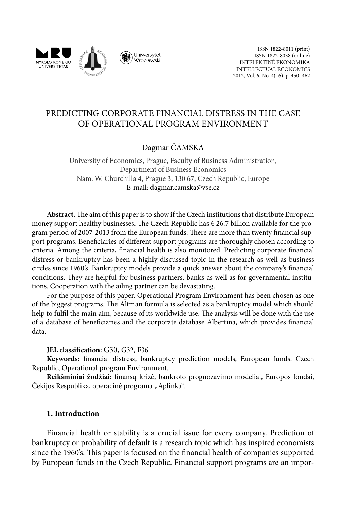

# Predicting Corporate Financial Distress in the Case of Operational program Environment

# Dagmar ČÁMSKÁ

University of Economics, Prague, Faculty of Business Administration, Department of Business Economics Nám. W. Churchilla 4, Prague 3, 130 67, Czech Republic, Europe E-mail: dagmar.camska@vse.cz

**Abstract.** The aim of this paper is to show if the Czech institutions that distribute European money support healthy businesses. The Czech Republic has  $\epsilon$  26.7 billion available for the program period of 2007-2013 from the European funds. There are more than twenty financial support programs. Beneficiaries of different support programs are thoroughly chosen according to criteria. Among the criteria, financial health is also monitored. Predicting corporate financial distress or bankruptcy has been a highly discussed topic in the research as well as business circles since 1960's. Bankruptcy models provide a quick answer about the company's financial conditions. They are helpful for business partners, banks as well as for governmental institutions. Cooperation with the ailing partner can be devastating.

For the purpose of this paper, Operational Program Environment has been chosen as one of the biggest programs. The Altman formula is selected as a bankruptcy model which should help to fulfil the main aim, because of its worldwide use. The analysis will be done with the use of a database of beneficiaries and the corporate database Albertina, which provides financial data.

## **JEL classification:** G30, G32, F36.

**Keywords:** financial distress, bankruptcy prediction models, European funds. Czech Republic, Operational program Environment.

**Reikšminiai žodžiai:** finansų krizė, bankroto prognozavimo modeliai, Europos fondai, Čekijos Respublika, operacinė programa "Aplinka".

## **1. Introduction**

Financial health or stability is a crucial issue for every company. Prediction of bankruptcy or probability of default is a research topic which has inspired economists since the 1960's. This paper is focused on the financial health of companies supported by European funds in the Czech Republic. Financial support programs are an impor-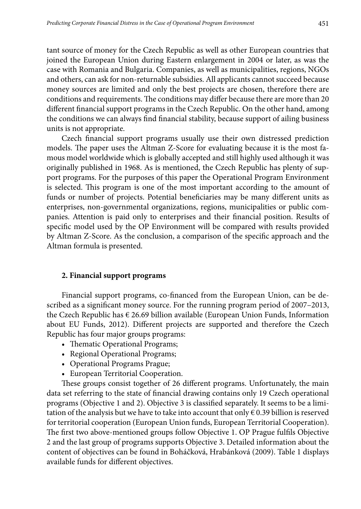tant source of money for the Czech Republic as well as other European countries that joined the European Union during Eastern enlargement in 2004 or later, as was the case with Romania and Bulgaria. Companies, as well as municipalities, regions, NGOs and others, can ask for non-returnable subsidies. All applicants cannot succeed because money sources are limited and only the best projects are chosen, therefore there are conditions and requirements. The conditions may differ because there are more than 20 different financial support programs in the Czech Republic. On the other hand, among the conditions we can always find financial stability, because support of ailing business units is not appropriate.

Czech financial support programs usually use their own distressed prediction models. The paper uses the Altman Z-Score for evaluating because it is the most famous model worldwide which is globally accepted and still highly used although it was originally published in 1968. As is mentioned, the Czech Republic has plenty of support programs. For the purposes of this paper the Operational Program Environment is selected. This program is one of the most important according to the amount of funds or number of projects. Potential beneficiaries may be many different units as enterprises, non-governmental organizations, regions, municipalities or public companies. Attention is paid only to enterprises and their financial position. Results of specific model used by the OP Environment will be compared with results provided by Altman Z-Score. As the conclusion, a comparison of the specific approach and the Altman formula is presented.

## **2. Financial support programs**

Financial support programs, co-financed from the European Union, can be described as a significant money source. For the running program period of 2007–2013, the Czech Republic has € 26.69 billion available (European Union Funds, Information about EU Funds, 2012). Different projects are supported and therefore the Czech Republic has four major groups programs:

- Thematic Operational Programs;
- Regional Operational Programs;
- • Operational Programs Prague;
- • European Territorial Cooperation.

These groups consist together of 26 different programs. Unfortunately, the main data set referring to the state of financial drawing contains only 19 Czech operational programs (Objective 1 and 2). Objective 3 is classified separately. It seems to be a limitation of the analysis but we have to take into account that only  $\epsilon$  0.39 billion is reserved for territorial cooperation (European Union funds, European Territorial Cooperation). The first two above-mentioned groups follow Objective 1. OP Prague fulfils Objective 2 and the last group of programs supports Objective 3. Detailed information about the content of objectives can be found in Boháčková, Hrabánková (2009). Table 1 displays available funds for different objectives.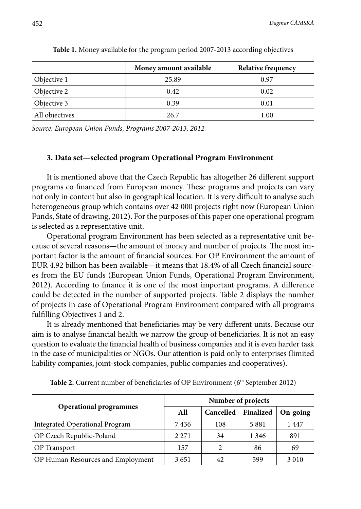|                | Money amount available | <b>Relative frequency</b> |
|----------------|------------------------|---------------------------|
| Objective 1    | 25.89                  | 0.97                      |
| Objective 2    | 0.42                   | 0.02                      |
| Objective 3    | 0.39                   | 0.01                      |
| All objectives | 26.7                   | 1.00                      |

**Table 1.** Money available for the program period 2007-2013 according objectives

*Source: European Union Funds, Programs 2007-2013, 2012*

## **3. Data set—selected program Operational Program Environment**

It is mentioned above that the Czech Republic has altogether 26 different support programs co financed from European money. These programs and projects can vary not only in content but also in geographical location. It is very difficult to analyse such heterogeneous group which contains over 42 000 projects right now (European Union Funds, State of drawing, 2012). For the purposes of this paper one operational program is selected as a representative unit.

Operational program Environment has been selected as a representative unit because of several reasons—the amount of money and number of projects. The most important factor is the amount of financial sources. For OP Environment the amount of EUR 4.92 billion has been available—it means that 18.4% of all Czech financial sources from the EU funds (European Union Funds, Operational Program Environment, 2012). According to finance it is one of the most important programs. A difference could be detected in the number of supported projects. Table 2 displays the number of projects in case of Operational Program Environment compared with all programs fulfilling Objectives 1 and 2.

It is already mentioned that beneficiaries may be very different units. Because our aim is to analyse financial health we narrow the group of beneficiaries. It is not an easy question to evaluate the financial health of business companies and it is even harder task in the case of municipalities or NGOs. Our attention is paid only to enterprises (limited liability companies, joint-stock companies, public companies and cooperatives).

|                                       | Number of projects |                |           |          |  |
|---------------------------------------|--------------------|----------------|-----------|----------|--|
| <b>Operational programmes</b>         | All                | Cancelled      | Finalized | On-going |  |
| <b>Integrated Operational Program</b> | 7436               | 108            | 5881      | 1447     |  |
| OP Czech Republic-Poland              | 2 2 7 1            | 34             | 1 3 4 6   | 891      |  |
| <b>OP</b> Transport                   | 157                | $\mathfrak{D}$ | 86        | 69       |  |
| OP Human Resources and Employment     | 3651               | 42             | 599       | 3 0 1 0  |  |

**Table 2.** Current number of beneficiaries of OP Environment (6<sup>th</sup> September 2012)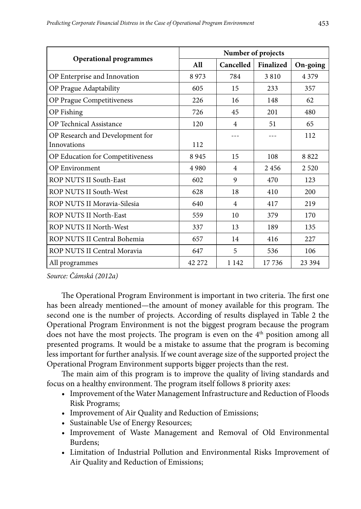|                                                | Number of projects |                |           |          |
|------------------------------------------------|--------------------|----------------|-----------|----------|
| <b>Operational programmes</b>                  | All                | Cancelled      | Finalized | On-going |
| OP Enterprise and Innovation                   | 8973               | 784            | 3810      | 4 3 7 9  |
| OP Prague Adaptability                         | 605                | 15             | 233       | 357      |
| OP Prague Competitiveness                      | 226                | 16             | 148       | 62       |
| OP Fishing                                     | 726                | 45             | 201       | 480      |
| OP Technical Assistance                        | 120                | $\overline{4}$ | 51        | 65       |
| OP Research and Development for<br>Innovations | 112                |                |           | 112      |
| OP Education for Competitiveness               | 8945               | 15             | 108       | 8822     |
| <b>OP Environment</b>                          | 4 9 8 0            | 4              | 2456      | 2 5 2 0  |
| <b>ROP NUTS II South-East</b>                  | 602                | 9              | 470       | 123      |
| ROP NUTS II South-West                         | 628                | 18             | 410       | 200      |
| ROP NUTS II Moravia-Silesia                    | 640                | 4              | 417       | 219      |
| ROP NUTS II North-East                         | 559                | 10             | 379       | 170      |
| ROP NUTS II North-West                         | 337                | 13             | 189       | 135      |
| ROP NUTS II Central Bohemia                    | 657                | 14             | 416       | 227      |
| ROP NUTS II Central Moravia                    | 647                | 5              | 536       | 106      |
| All programmes                                 | 42 272             | 1 1 4 2        | 17736     | 23 394   |

*Source: Čámská (2012a)* 

The Operational Program Environment is important in two criteria. The first one has been already mentioned—the amount of money available for this program. The second one is the number of projects. According of results displayed in Table 2 the Operational Program Environment is not the biggest program because the program does not have the most projects. The program is even on the  $4<sup>th</sup>$  position among all presented programs. It would be a mistake to assume that the program is becoming less important for further analysis. If we count average size of the supported project the Operational Program Environment supports bigger projects than the rest.

The main aim of this program is to improve the quality of living standards and focus on a healthy environment. The program itself follows 8 priority axes:

- • Improvement of the Water Management Infrastructure and Reduction of Floods Risk Programs;
- Improvement of Air Quality and Reduction of Emissions;
- Sustainable Use of Energy Resources;
- • Improvement of Waste Management and Removal of Old Environmental Burdens;
- • Limitation of Industrial Pollution and Environmental Risks Improvement of Air Quality and Reduction of Emissions;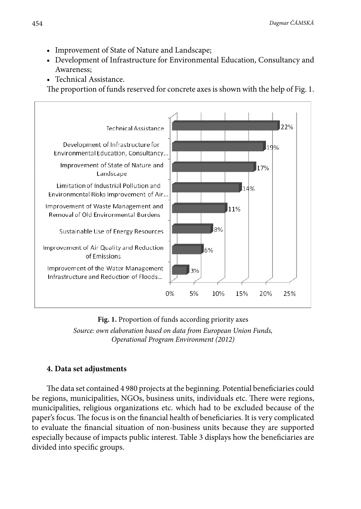- Improvement of State of Nature and Landscape;
- Development of Infrastructure for Environmental Education, Consultancy and Awareness;
- Technical Assistance.

The proportion of funds reserved for concrete axes is shown with the help of Fig. 1.



 *Source: own elaboration based on data from European Union Funds,*  **Fig. 1.** Proportion of funds according priority axes *Operational Program Environment (2012)*

# **4. Data set adjustments**

The data set contained 4 980 projects at the beginning. Potential beneficiaries could be regions, municipalities, NGOs, business units, individuals etc. There were regions, municipalities, religious organizations etc. which had to be excluded because of the paper's focus. The focus is on the financial health of beneficiaries. It is very complicated to evaluate the financial situation of non-business units because they are supported especially because of impacts public interest. Table 3 displays how the beneficiaries are divided into specific groups.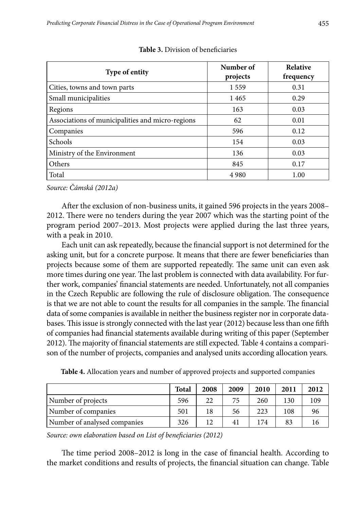| Type of entity                                   | Number of<br>projects | <b>Relative</b><br>frequency |
|--------------------------------------------------|-----------------------|------------------------------|
| Cities, towns and town parts                     | 1559                  | 0.31                         |
| Small municipalities                             | 1465                  | 0.29                         |
| Regions                                          | 163                   | 0.03                         |
| Associations of municipalities and micro-regions | 62                    | 0.01                         |
| Companies                                        | 596                   | 0.12                         |
| Schools                                          | 154                   | 0.03                         |
| Ministry of the Environment                      | 136                   | 0.03                         |
| Others                                           | 845                   | 0.17                         |
| Total                                            | 4 9 8 0               | 1.00                         |

**Table 3.** Division of beneficiaries

*Source: Čámská (2012a)*

After the exclusion of non-business units, it gained 596 projects in the years 2008– 2012. There were no tenders during the year 2007 which was the starting point of the program period 2007–2013. Most projects were applied during the last three years, with a peak in 2010.

Each unit can ask repeatedly, because the financial support is not determined for the asking unit, but for a concrete purpose. It means that there are fewer beneficiaries than projects because some of them are supported repeatedly. The same unit can even ask more times during one year. The last problem is connected with data availability. For further work, companies' financial statements are needed. Unfortunately, not all companies in the Czech Republic are following the rule of disclosure obligation. The consequence is that we are not able to count the results for all companies in the sample. The financial data of some companies is available in neither the business register nor in corporate databases. This issue is strongly connected with the last year (2012) because less than one fifth of companies had financial statements available during writing of this paper (September 2012). The majority of financial statements are still expected. Table 4 contains a comparison of the number of projects, companies and analysed units according allocation years.

|                              | <b>Total</b> | 2008 | 2009 | 2010 | 2011 | 2012 |
|------------------------------|--------------|------|------|------|------|------|
| Number of projects           | 596          | 22   | 75   | 260  | 130  | 109  |
| Number of companies          | 501          | 18   | 56   | 223  | 108  | 96   |
| Number of analysed companies | 326          | 12.  | 41   | 174  | 83   | 16   |

*Source: own elaboration based on List of beneficiaries (2012)*

The time period 2008–2012 is long in the case of financial health. According to the market conditions and results of projects, the financial situation can change. Table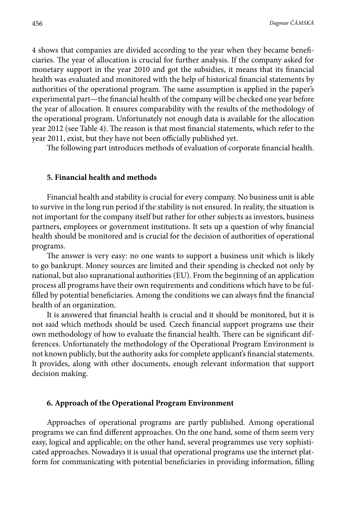4 shows that companies are divided according to the year when they became beneficiaries. The year of allocation is crucial for further analysis. If the company asked for monetary support in the year 2010 and got the subsidies, it means that its financial health was evaluated and monitored with the help of historical financial statements by authorities of the operational program. The same assumption is applied in the paper's experimental part—the financial health of the company will be checked one year before the year of allocation. It ensures comparability with the results of the methodology of the operational program. Unfortunately not enough data is available for the allocation year 2012 (see Table 4). The reason is that most financial statements, which refer to the year 2011, exist, but they have not been officially published yet.

The following part introduces methods of evaluation of corporate financial health.

#### **5. Financial health and methods**

Financial health and stability is crucial for every company. No business unit is able to survive in the long run period if the stability is not ensured. In reality, the situation is not important for the company itself but rather for other subjects as investors, business partners, employees or government institutions. It sets up a question of why financial health should be monitored and is crucial for the decision of authorities of operational programs.

The answer is very easy: no one wants to support a business unit which is likely to go bankrupt. Money sources are limited and their spending is checked not only by national, but also supranational authorities (EU). From the beginning of an application process all programs have their own requirements and conditions which have to be fulfilled by potential beneficiaries. Among the conditions we can always find the financial health of an organization.

It is answered that financial health is crucial and it should be monitored, but it is not said which methods should be used. Czech financial support programs use their own methodology of how to evaluate the financial health. There can be significant differences. Unfortunately the methodology of the Operational Program Environment is not known publicly, but the authority asks for complete applicant's financial statements. It provides, along with other documents, enough relevant information that support decision making.

#### **6. Approach of the Operational Program Environment**

Approaches of operational programs are partly published. Among operational programs we can find different approaches. On the one hand, some of them seem very easy, logical and applicable; on the other hand, several programmes use very sophisticated approaches. Nowadays it is usual that operational programs use the internet platform for communicating with potential beneficiaries in providing information, filling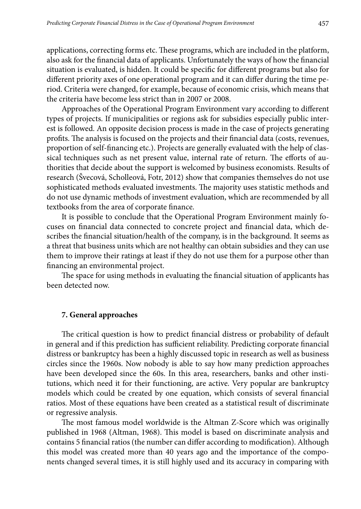applications, correcting forms etc. These programs, which are included in the platform, also ask for the financial data of applicants. Unfortunately the ways of how the financial situation is evaluated, is hidden. It could be specific for different programs but also for different priority axes of one operational program and it can differ during the time period. Criteria were changed, for example, because of economic crisis, which means that the criteria have become less strict than in 2007 or 2008.

Approaches of the Operational Program Environment vary according to different types of projects. If municipalities or regions ask for subsidies especially public interest is followed. An opposite decision process is made in the case of projects generating profits. The analysis is focused on the projects and their financial data (costs, revenues, proportion of self-financing etc.). Projects are generally evaluated with the help of classical techniques such as net present value, internal rate of return. The efforts of authorities that decide about the support is welcomed by business economists. Results of research (Švecová, Scholleová, Fotr, 2012) show that companies themselves do not use sophisticated methods evaluated investments. The majority uses statistic methods and do not use dynamic methods of investment evaluation, which are recommended by all textbooks from the area of corporate finance.

It is possible to conclude that the Operational Program Environment mainly focuses on financial data connected to concrete project and financial data, which describes the financial situation/health of the company, is in the background. It seems as a threat that business units which are not healthy can obtain subsidies and they can use them to improve their ratings at least if they do not use them for a purpose other than financing an environmental project.

The space for using methods in evaluating the financial situation of applicants has been detected now.

## **7. General approaches**

The critical question is how to predict financial distress or probability of default in general and if this prediction has sufficient reliability. Predicting corporate financial distress or bankruptcy has been a highly discussed topic in research as well as business circles since the 1960s. Now nobody is able to say how many prediction approaches have been developed since the 60s. In this area, researchers, banks and other institutions, which need it for their functioning, are active. Very popular are bankruptcy models which could be created by one equation, which consists of several financial ratios. Most of these equations have been created as a statistical result of discriminate or regressive analysis.

The most famous model worldwide is the Altman Z-Score which was originally published in 1968 (Altman, 1968). This model is based on discriminate analysis and contains 5 financial ratios (the number can differ according to modification). Although this model was created more than 40 years ago and the importance of the components changed several times, it is still highly used and its accuracy in comparing with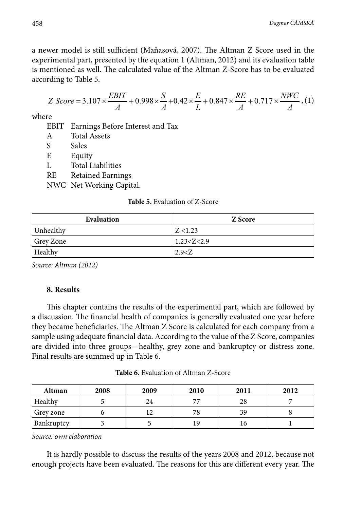a newer model is still sufficient (Maňasová, 2007). The Altman Z Score used in the experimental part, presented by the equation 1 (Altman, 2012) and its evaluation table is mentioned as well. The calculated value of the Altman Z-Score has to be evaluated according to Table 5.

$$
Z\ Score = 3.107 \times \frac{EBIT}{A} + 0.998 \times \frac{S}{A} + 0.42 \times \frac{E}{L} + 0.847 \times \frac{RE}{A} + 0.717 \times \frac{NWC}{A}, (1)
$$

where

EBIT Earnings Before Interest and Tax

- A Total Assets
- S Sales

E Equity

- L Total Liabilities
- RE Retained Earnings

NWC Net Working Capital.

#### **Table 5.** Evaluation of Z-Score

| Evaluation | Z Score        |
|------------|----------------|
| Unhealthy  | Z < 1.23       |
| Grey Zone  | 1.23 < Z < 2.9 |
| Healthy    | 2.9 < Z        |

*Source: Altman (2012)* 

## **8. Results**

This chapter contains the results of the experimental part, which are followed by a discussion. The financial health of companies is generally evaluated one year before they became beneficiaries. The Altman Z Score is calculated for each company from a sample using adequate financial data. According to the value of the Z Score, companies are divided into three groups—healthy, grey zone and bankruptcy or distress zone. Final results are summed up in Table 6.

**Table 6.** Evaluation of Altman Z-Score

| Altman     | 2008 | 2009 | 2010 | 2011 | 2012 |
|------------|------|------|------|------|------|
| Healthy    |      | 24   |      | 28   |      |
| Grey zone  |      |      | 78   | 39   |      |
| Bankruptcy |      |      | 19   | 10   |      |

*Source: own elaboration*

It is hardly possible to discuss the results of the years 2008 and 2012, because not enough projects have been evaluated. The reasons for this are different every year. The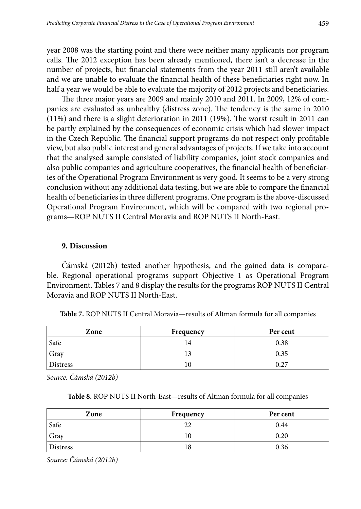year 2008 was the starting point and there were neither many applicants nor program calls. The 2012 exception has been already mentioned, there isn't a decrease in the number of projects, but financial statements from the year 2011 still aren't available and we are unable to evaluate the financial health of these beneficiaries right now. In half a year we would be able to evaluate the majority of 2012 projects and beneficiaries.

The three major years are 2009 and mainly 2010 and 2011. In 2009, 12% of companies are evaluated as unhealthy (distress zone). The tendency is the same in 2010 (11%) and there is a slight deterioration in 2011 (19%). The worst result in 2011 can be partly explained by the consequences of economic crisis which had slower impact in the Czech Republic. The financial support programs do not respect only profitable view, but also public interest and general advantages of projects. If we take into account that the analysed sample consisted of liability companies, joint stock companies and also public companies and agriculture cooperatives, the financial health of beneficiaries of the Operational Program Environment is very good. It seems to be a very strong conclusion without any additional data testing, but we are able to compare the financial health of beneficiaries in three different programs. One program is the above-discussed Operational Program Environment, which will be compared with two regional programs—ROP NUTS II Central Moravia and ROP NUTS II North-East.

#### **9. Discussion**

Čámská (2012b) tested another hypothesis, and the gained data is comparable. Regional operational programs support Objective 1 as Operational Program Environment. Tables 7 and 8 display the results for the programs ROP NUTS II Central Moravia and ROP NUTS II North-East.

| Zone        | Frequency | Per cent |
|-------------|-----------|----------|
| <b>Safe</b> | 14        | 0.38     |
| Gray        |           | 0.35     |
| Distress    |           | 0.27     |

**Table 7.** ROP NUTS II Central Moravia—results of Altman formula for all companies

*Source: Čámská (2012b)*

**Table 8.** ROP NUTS II North-East—results of Altman formula for all companies

| Zone            | Frequency | Per cent |
|-----------------|-----------|----------|
| Safe            |           | 0.44     |
| Gray            |           | 0.20     |
| <b>Distress</b> | ð         | 0.36     |

*Source: Čámská (2012b)*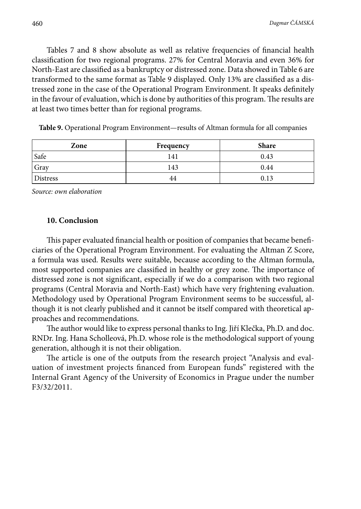Tables 7 and 8 show absolute as well as relative frequencies of financial health classification for two regional programs. 27% for Central Moravia and even 36% for North-East are classified as a bankruptcy or distressed zone. Data showed in Table 6 are transformed to the same format as Table 9 displayed. Only 13% are classified as a distressed zone in the case of the Operational Program Environment. It speaks definitely in the favour of evaluation, which is done by authorities of this program. The results are at least two times better than for regional programs.

| Zone            | Frequency | <b>Share</b> |
|-----------------|-----------|--------------|
| Safe            | 141       | 0.43         |
| Gray            | 143       | 0.44         |
| <b>Distress</b> | 44        | 0.13         |

**Table 9.** Operational Program Environment—results of Altman formula for all companies

*Source: own elaboration*

#### **10. Conclusion**

This paper evaluated financial health or position of companies that became beneficiaries of the Operational Program Environment. For evaluating the Altman Z Score, a formula was used. Results were suitable, because according to the Altman formula, most supported companies are classified in healthy or grey zone. The importance of distressed zone is not significant, especially if we do a comparison with two regional programs (Central Moravia and North-East) which have very frightening evaluation. Methodology used by Operational Program Environment seems to be successful, although it is not clearly published and it cannot be itself compared with theoretical approaches and recommendations.

The author would like to express personal thanks to Ing. Jiří Klečka, Ph.D. and doc. RNDr. Ing. Hana Scholleová, Ph.D. whose role is the methodological support of young generation, although it is not their obligation.

The article is one of the outputs from the research project "Analysis and evaluation of investment projects financed from European funds" registered with the Internal Grant Agency of the University of Economics in Prague under the number F3/32/2011.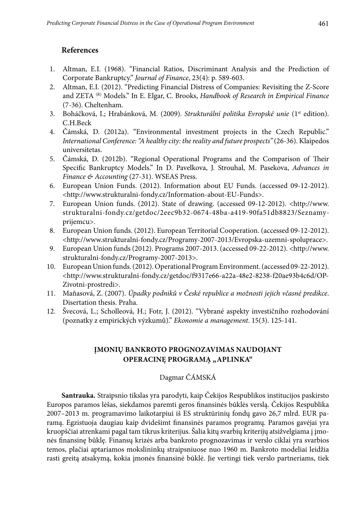# **References**

- 1. Altman, E.I. (1968). "Financial Ratios, Discriminant Analysis and the Prediction of Corporate Bankruptcy." *Journal of Finance*, 23(4): p. 589-603.
- 2. Altman, E.I. (2012). "Predicting Financial Distress of Companies: Revisiting the Z-Score and ZETA (R) Models." In E. Elgar, C. Brooks, *Handbook of Research in Empirical Finance* (7-36). Cheltenham.
- 3. Boháčková, I.; Hrabánková, M. (2009). *Strukturální politika Evropské unie* (1<sup>st</sup> edition). C.H.Beck
- 4. Čámská, D. (2012a). "Environmental investment projects in the Czech Republic." *International Conference: "A healthy city: the reality and future prospects"* (26-36). Klaipedos universitetas.
- 5. Čámská, D. (2012b). "Regional Operational Programs and the Comparison of Their Specific Bankruptcy Models." In D. Pavelkova, J. Strouhal, M. Pasekova, *Advances in Finance & Accounting* (27-31). WSEAS Press.
- 6. European Union Funds. (2012). Information about EU Funds. (accessed 09-12-2012). <http://www.strukturalni-fondy.cz/Information-about-EU-Funds>.
- 7. European Union funds. (2012). State of drawing. (accessed 09-12-2012). <http://www. strukturalni-fondy.cz/getdoc/2eec9b32-0674-48ba-a419-90fa51db8823/Seznamyprijemcu>.
- 8. European Union funds. (2012). European Territorial Cooperation. (accessed 09-12-2012). <http://www.strukturalni-fondy.cz/Programy-2007-2013/Evropska-uzemni-spoluprace>.
- 9. European Union funds (2012). Programs 2007-2013. (accessed 09-22-2012). <http://www. strukturalni-fondy.cz/Programy-2007-2013>.
- 10. European Union funds. (2012). Operational Program Environment. (accessed 09-22-2012). <http://www.strukturalni-fondy.cz/getdoc/f9317e66-a22a-48e2-8238-f20ae93b4c6d/OP-Zivotni-prostredi>.
- 11. Maňasová, Z. (2007). *Úpadky podniků v České republice a možnosti jejich včasné predikce*. Disertation thesis. Praha.
- 12. Švecová, L.; Scholleová, H.; Fotr, J. (2012). "Vybrané aspekty investičního rozhodování (poznatky z empirických výzkumů)." *Ekonomie a management*. 15(3). 125-141.

## **Įmonių bankroto prognozavimas naudojant OPERACINĘ PROGRAMĄ "APLINKA"**

# Dagmar ČÁMSKÁ

**Santrauka.** Straipsnio tikslas yra parodyti, kaip Čekijos Respublikos institucijos paskirsto Europos paramos lėšas, siekdamos paremti geros finansinės būklės verslą. Čekijos Respublika 2007–2013 m. programavimo laikotarpiui iš ES struktūrinių fondų gavo 26,7 mlrd. EUR paramą. Egzistuoja daugiau kaip dvidešimt finansinės paramos programų. Paramos gavėjai yra kruopščiai atrenkami pagal tam tikrus kriterijus. Šalia kitų svarbių kriterijų atsižvelgiama į įmonės finansinę būklę. Finansų krizės arba bankroto prognozavimas ir verslo ciklai yra svarbios temos, plačiai aptariamos mokslininkų straipsniuose nuo 1960 m. Bankroto modeliai leidžia rasti greitą atsakymą, kokia įmonės finansinė būklė. Jie vertingi tiek verslo partneriams, tiek